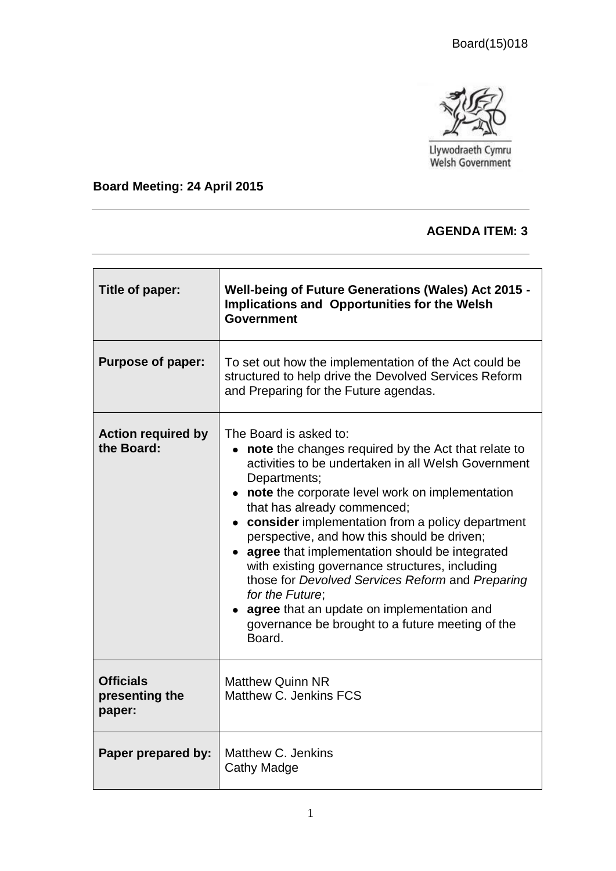

Llywodraeth Cymru<br>Welsh Government

### **Board Meeting: 24 April 2015**

#### **AGENDA ITEM: 3**

| Title of paper:                              | <b>Well-being of Future Generations (Wales) Act 2015 -</b><br>Implications and Opportunities for the Welsh<br><b>Government</b>                                                                                                                                                                                                                                                                                                                                                                                                                                                                                                               |
|----------------------------------------------|-----------------------------------------------------------------------------------------------------------------------------------------------------------------------------------------------------------------------------------------------------------------------------------------------------------------------------------------------------------------------------------------------------------------------------------------------------------------------------------------------------------------------------------------------------------------------------------------------------------------------------------------------|
| <b>Purpose of paper:</b>                     | To set out how the implementation of the Act could be<br>structured to help drive the Devolved Services Reform<br>and Preparing for the Future agendas.                                                                                                                                                                                                                                                                                                                                                                                                                                                                                       |
| <b>Action required by</b><br>the Board:      | The Board is asked to:<br>note the changes required by the Act that relate to<br>activities to be undertaken in all Welsh Government<br>Departments;<br>note the corporate level work on implementation<br>$\bullet$<br>that has already commenced;<br>consider implementation from a policy department<br>perspective, and how this should be driven;<br>agree that implementation should be integrated<br>with existing governance structures, including<br>those for Devolved Services Reform and Preparing<br>for the Future;<br>agree that an update on implementation and<br>governance be brought to a future meeting of the<br>Board. |
| <b>Officials</b><br>presenting the<br>paper: | <b>Matthew Quinn NR</b><br>Matthew C. Jenkins FCS                                                                                                                                                                                                                                                                                                                                                                                                                                                                                                                                                                                             |
| Paper prepared by:                           | Matthew C. Jenkins<br>Cathy Madge                                                                                                                                                                                                                                                                                                                                                                                                                                                                                                                                                                                                             |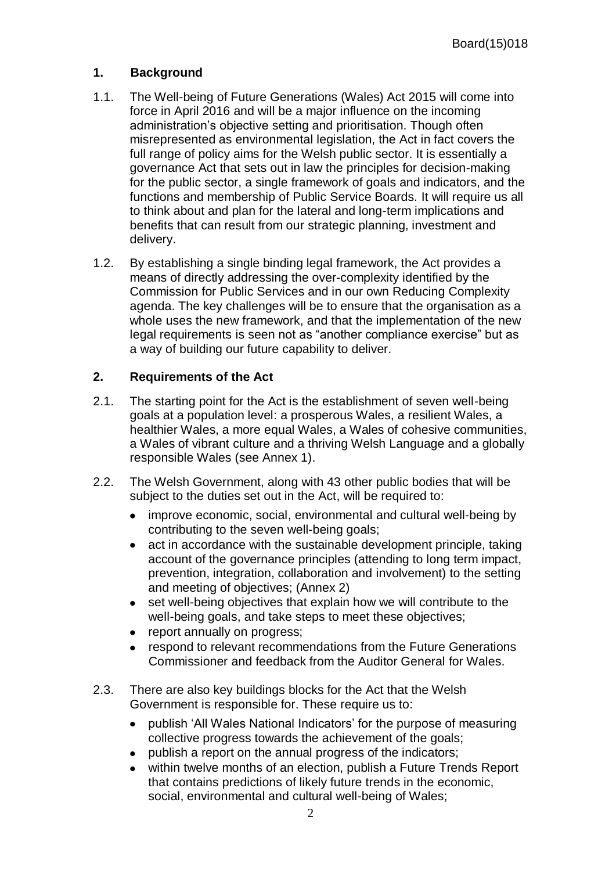### **1. Background**

- 1.1. The Well-being of Future Generations (Wales) Act 2015 will come into force in April 2016 and will be a major influence on the incoming administration's objective setting and prioritisation. Though often misrepresented as environmental legislation, the Act in fact covers the full range of policy aims for the Welsh public sector. It is essentially a governance Act that sets out in law the principles for decision-making for the public sector, a single framework of goals and indicators, and the functions and membership of Public Service Boards. It will require us all to think about and plan for the lateral and long-term implications and benefits that can result from our strategic planning, investment and delivery.
- 1.2. By establishing a single binding legal framework, the Act provides a means of directly addressing the over-complexity identified by the Commission for Public Services and in our own Reducing Complexity agenda. The key challenges will be to ensure that the organisation as a whole uses the new framework, and that the implementation of the new legal requirements is seen not as "another compliance exercise" but as a way of building our future capability to deliver.

### **2. Requirements of the Act**

- 2.1. The starting point for the Act is the establishment of seven well-being goals at a population level: a prosperous Wales, a resilient Wales, a healthier Wales, a more equal Wales, a Wales of cohesive communities, a Wales of vibrant culture and a thriving Welsh Language and a globally responsible Wales (see Annex 1).
- 2.2. The Welsh Government, along with 43 other public bodies that will be subject to the duties set out in the Act, will be required to:
	- improve economic, social, environmental and cultural well-being by contributing to the seven well-being goals;
	- act in accordance with the sustainable development principle, taking account of the governance principles (attending to long term impact, prevention, integration, collaboration and involvement) to the setting and meeting of objectives; (Annex 2)
	- set well-being objectives that explain how we will contribute to the well-being goals, and take steps to meet these objectives;
	- report annually on progress;
	- respond to relevant recommendations from the Future Generations Commissioner and feedback from the Auditor General for Wales.
- 2.3. There are also key buildings blocks for the Act that the Welsh Government is responsible for. These require us to:
	- publish 'All Wales National Indicators' for the purpose of measuring collective progress towards the achievement of the goals;
	- publish a report on the annual progress of the indicators;
	- within twelve months of an election, publish a Future Trends Report that contains predictions of likely future trends in the economic, social, environmental and cultural well-being of Wales;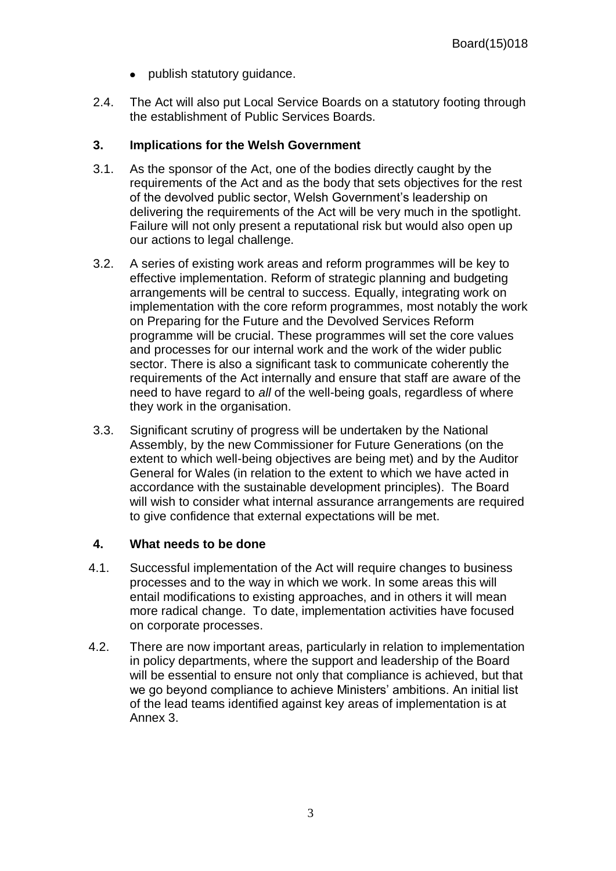- publish statutory quidance.
- 2.4. The Act will also put Local Service Boards on a statutory footing through the establishment of Public Services Boards.

#### **3. Implications for the Welsh Government**

- 3.1. As the sponsor of the Act, one of the bodies directly caught by the requirements of the Act and as the body that sets objectives for the rest of the devolved public sector, Welsh Government's leadership on delivering the requirements of the Act will be very much in the spotlight. Failure will not only present a reputational risk but would also open up our actions to legal challenge.
- 3.2. A series of existing work areas and reform programmes will be key to effective implementation. Reform of strategic planning and budgeting arrangements will be central to success. Equally, integrating work on implementation with the core reform programmes, most notably the work on Preparing for the Future and the Devolved Services Reform programme will be crucial. These programmes will set the core values and processes for our internal work and the work of the wider public sector. There is also a significant task to communicate coherently the requirements of the Act internally and ensure that staff are aware of the need to have regard to *all* of the well-being goals, regardless of where they work in the organisation.
- 3.3. Significant scrutiny of progress will be undertaken by the National Assembly, by the new Commissioner for Future Generations (on the extent to which well-being objectives are being met) and by the Auditor General for Wales (in relation to the extent to which we have acted in accordance with the sustainable development principles). The Board will wish to consider what internal assurance arrangements are required to give confidence that external expectations will be met.

#### **4. What needs to be done**

- 4.1. Successful implementation of the Act will require changes to business processes and to the way in which we work. In some areas this will entail modifications to existing approaches, and in others it will mean more radical change. To date, implementation activities have focused on corporate processes.
- 4.2. There are now important areas, particularly in relation to implementation in policy departments, where the support and leadership of the Board will be essential to ensure not only that compliance is achieved, but that we go beyond compliance to achieve Ministers' ambitions. An initial list of the lead teams identified against key areas of implementation is at Annex 3.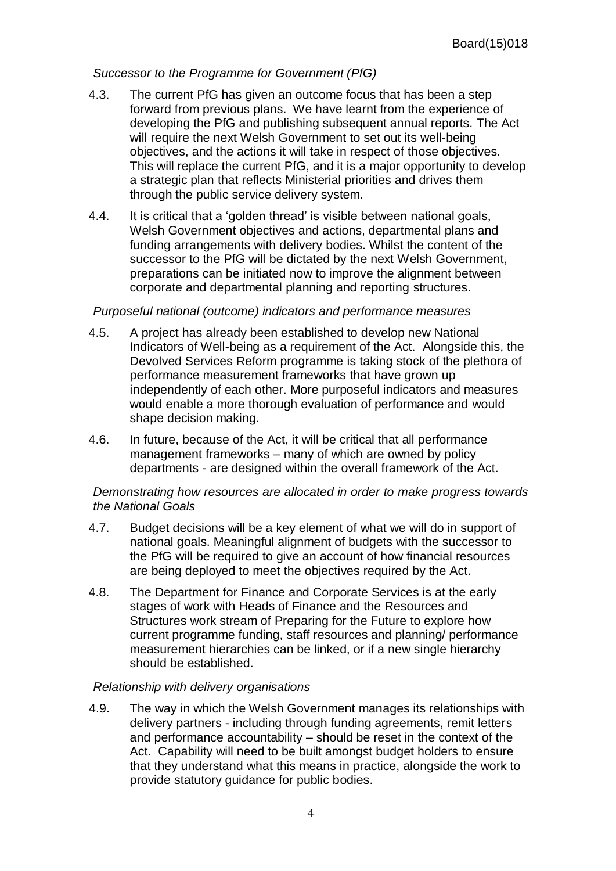#### *Successor to the Programme for Government (PfG)*

- 4.3. The current PfG has given an outcome focus that has been a step forward from previous plans. We have learnt from the experience of developing the PfG and publishing subsequent annual reports. The Act will require the next Welsh Government to set out its well-being objectives, and the actions it will take in respect of those objectives. This will replace the current PfG, and it is a major opportunity to develop a strategic plan that reflects Ministerial priorities and drives them through the public service delivery system.
- 4.4. It is critical that a 'golden thread' is visible between national goals, Welsh Government objectives and actions, departmental plans and funding arrangements with delivery bodies. Whilst the content of the successor to the PfG will be dictated by the next Welsh Government, preparations can be initiated now to improve the alignment between corporate and departmental planning and reporting structures.

#### *Purposeful national (outcome) indicators and performance measures*

- 4.5. A project has already been established to develop new National Indicators of Well-being as a requirement of the Act. Alongside this, the Devolved Services Reform programme is taking stock of the plethora of performance measurement frameworks that have grown up independently of each other. More purposeful indicators and measures would enable a more thorough evaluation of performance and would shape decision making.
- 4.6. In future, because of the Act, it will be critical that all performance management frameworks – many of which are owned by policy departments - are designed within the overall framework of the Act.

#### *Demonstrating how resources are allocated in order to make progress towards the National Goals*

- 4.7. Budget decisions will be a key element of what we will do in support of national goals. Meaningful alignment of budgets with the successor to the PfG will be required to give an account of how financial resources are being deployed to meet the objectives required by the Act.
- 4.8. The Department for Finance and Corporate Services is at the early stages of work with Heads of Finance and the Resources and Structures work stream of Preparing for the Future to explore how current programme funding, staff resources and planning/ performance measurement hierarchies can be linked, or if a new single hierarchy should be established.

#### *Relationship with delivery organisations*

4.9. The way in which the Welsh Government manages its relationships with delivery partners - including through funding agreements, remit letters and performance accountability – should be reset in the context of the Act. Capability will need to be built amongst budget holders to ensure that they understand what this means in practice, alongside the work to provide statutory guidance for public bodies.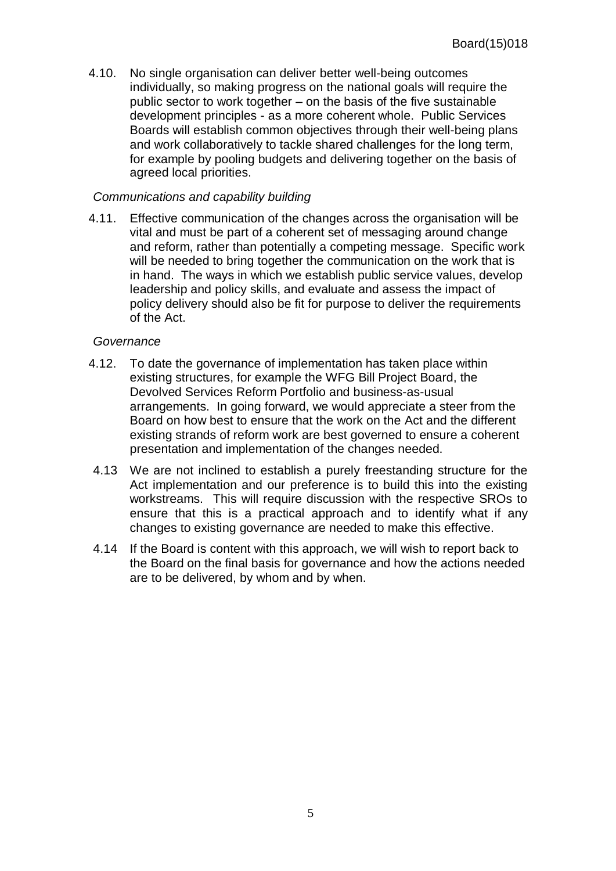4.10. No single organisation can deliver better well-being outcomes individually, so making progress on the national goals will require the public sector to work together – on the basis of the five sustainable development principles - as a more coherent whole. Public Services Boards will establish common objectives through their well-being plans and work collaboratively to tackle shared challenges for the long term, for example by pooling budgets and delivering together on the basis of agreed local priorities.

#### *Communications and capability building*

4.11. Effective communication of the changes across the organisation will be vital and must be part of a coherent set of messaging around change and reform, rather than potentially a competing message. Specific work will be needed to bring together the communication on the work that is in hand. The ways in which we establish public service values, develop leadership and policy skills, and evaluate and assess the impact of policy delivery should also be fit for purpose to deliver the requirements of the Act.

#### *Governance*

- 4.12. To date the governance of implementation has taken place within existing structures, for example the WFG Bill Project Board, the Devolved Services Reform Portfolio and business-as-usual arrangements. In going forward, we would appreciate a steer from the Board on how best to ensure that the work on the Act and the different existing strands of reform work are best governed to ensure a coherent presentation and implementation of the changes needed.
- 4.13 We are not inclined to establish a purely freestanding structure for the Act implementation and our preference is to build this into the existing workstreams. This will require discussion with the respective SROs to ensure that this is a practical approach and to identify what if any changes to existing governance are needed to make this effective.
- 4.14 If the Board is content with this approach, we will wish to report back to the Board on the final basis for governance and how the actions needed are to be delivered, by whom and by when.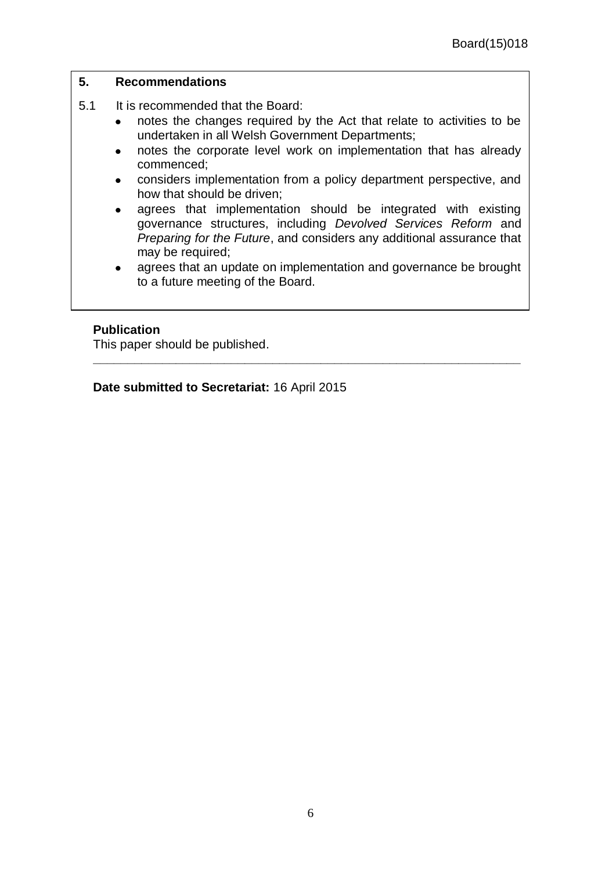#### **5. Recommendations**

- 5.1 It is recommended that the Board:
	- notes the changes required by the Act that relate to activities to be  $\bullet$ undertaken in all Welsh Government Departments;
	- notes the corporate level work on implementation that has already  $\bullet$ commenced;
	- considers implementation from a policy department perspective, and how that should be driven;
	- agrees that implementation should be integrated with existing governance structures, including *Devolved Services Reform* and *Preparing for the Future*, and considers any additional assurance that may be required;
	- agrees that an update on implementation and governance be brought to a future meeting of the Board.

**\_\_\_\_\_\_\_\_\_\_\_\_\_\_\_\_\_\_\_\_\_\_\_\_\_\_\_\_\_\_\_\_\_\_\_\_\_\_\_\_\_\_\_\_\_\_\_\_\_\_\_\_\_\_\_\_\_\_\_\_\_\_**

#### **Publication**

This paper should be published.

**Date submitted to Secretariat:** 16 April 2015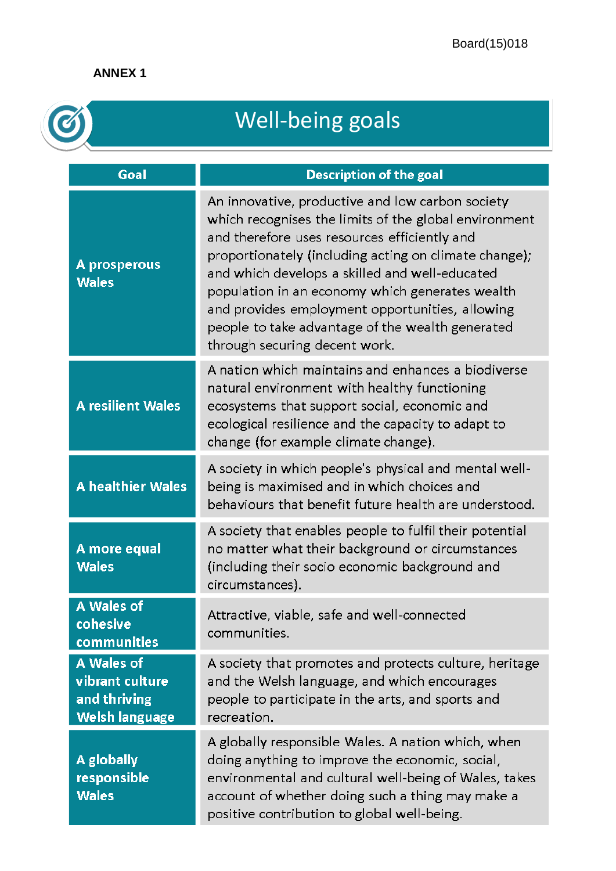### **ANNEX 1**

| <b>Well-being goals</b>                                                |                                                                                                                                                                                                                                                                                                                                                                                                                                                                 |  |
|------------------------------------------------------------------------|-----------------------------------------------------------------------------------------------------------------------------------------------------------------------------------------------------------------------------------------------------------------------------------------------------------------------------------------------------------------------------------------------------------------------------------------------------------------|--|
| Goal                                                                   | <b>Description of the goal</b>                                                                                                                                                                                                                                                                                                                                                                                                                                  |  |
| A prosperous<br><b>Wales</b>                                           | An innovative, productive and low carbon society<br>which recognises the limits of the global environment<br>and therefore uses resources efficiently and<br>proportionately (including acting on climate change);<br>and which develops a skilled and well-educated<br>population in an economy which generates wealth<br>and provides employment opportunities, allowing<br>people to take advantage of the wealth generated<br>through securing decent work. |  |
| <b>A resilient Wales</b>                                               | A nation which maintains and enhances a biodiverse<br>natural environment with healthy functioning<br>ecosystems that support social, economic and<br>ecological resilience and the capacity to adapt to<br>change (for example climate change).                                                                                                                                                                                                                |  |
| A healthier Wales                                                      | A society in which people's physical and mental well-<br>being is maximised and in which choices and<br>behaviours that benefit future health are understood.                                                                                                                                                                                                                                                                                                   |  |
| A more equal<br><b>Wales</b>                                           | A society that enables people to fulfil their potential<br>no matter what their background or circumstances<br>(including their socio economic background and<br>circumstances).                                                                                                                                                                                                                                                                                |  |
| A Wales of<br>cohesive<br>communities                                  | Attractive, viable, safe and well-connected<br>communities.                                                                                                                                                                                                                                                                                                                                                                                                     |  |
| A Wales of<br>vibrant culture<br>and thriving<br><b>Welsh language</b> | A society that promotes and protects culture, heritage<br>and the Welsh language, and which encourages<br>people to participate in the arts, and sports and<br>recreation.                                                                                                                                                                                                                                                                                      |  |
| A globally<br>responsible<br><b>Wales</b>                              | A globally responsible Wales. A nation which, when<br>doing anything to improve the economic, social,<br>environmental and cultural well-being of Wales, takes<br>account of whether doing such a thing may make a<br>positive contribution to global well-being.                                                                                                                                                                                               |  |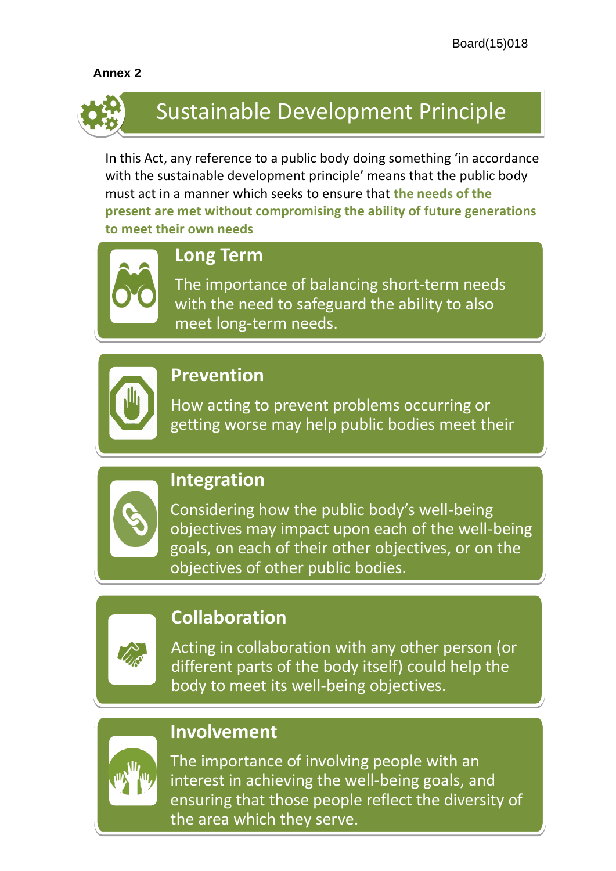### **Annex 2**



# Sustainable Development Principle

In this Act, any reference to a public body doing something 'in accordance with the sustainable development principle' means that the public body must act in a manner which seeks to ensure that **the needs of the present are met without compromising the ability of future generations to meet their own needs**



# **Long Term**

The importance of balancing short-term needs with the need to safeguard the ability to also meet long-term needs.



# **Prevention**

How acting to prevent problems occurring or getting worse may help public bodies meet their objectives.<br>Objectives.



# **Integration**

Considering how the public body's well-being objectives may impact upon each of the well-being goals, on each of their other objectives, or on the objectives of other public bodies.



# **Collaboration**

Acting in collaboration with any other person (or different parts of the body itself) could help the body to meet its well-being objectives.



## **Involvement**

the area which they serve. The importance of involving people with an interest in achieving the well-being goals, and ensuring that those people reflect the diversity of